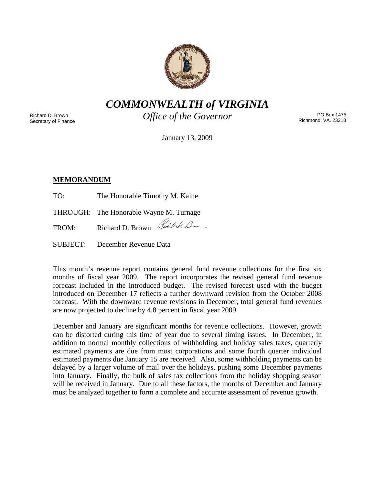

*COMMONWEALTH of VIRGINIA* 

Richard D. Brown Secretary of Finance *Office of the Governor* 

PO Box 1475 Richmond, VA. 23218

January 13, 2009

# **MEMORANDUM**

TO: The Honorable Timothy M. Kaine

THROUGH: The Honorable Wayne M. Turnage

FROM: Richard D. Brown Rubel D. Dum

SUBJECT: December Revenue Data

This month's revenue report contains general fund revenue collections for the first six months of fiscal year 2009. The report incorporates the revised general fund revenue forecast included in the introduced budget. The revised forecast used with the budget introduced on December 17 reflects a further downward revision from the October 2008 forecast. With the downward revenue revisions in December, total general fund revenues are now projected to decline by 4.8 percent in fiscal year 2009.

December and January are significant months for revenue collections. However, growth can be distorted during this time of year due to several timing issues. In December, in addition to normal monthly collections of withholding and holiday sales taxes, quarterly estimated payments are due from most corporations and some fourth quarter individual estimated payments due January 15 are received. Also, some withholding payments can be delayed by a larger volume of mail over the holidays, pushing some December payments into January. Finally, the bulk of sales tax collections from the holiday shopping season will be received in January. Due to all these factors, the months of December and January must be analyzed together to form a complete and accurate assessment of revenue growth.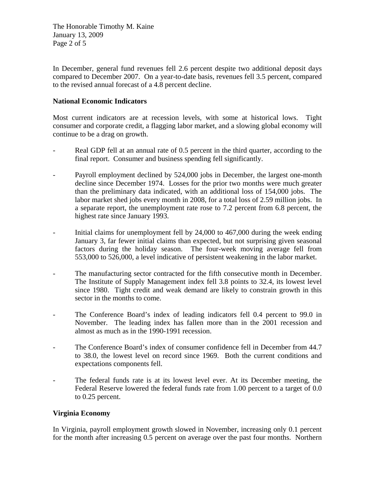The Honorable Timothy M. Kaine January 13, 2009 Page 2 of 5

In December, general fund revenues fell 2.6 percent despite two additional deposit days compared to December 2007. On a year-to-date basis, revenues fell 3.5 percent, compared to the revised annual forecast of a 4.8 percent decline.

### **National Economic Indicators**

Most current indicators are at recession levels, with some at historical lows. Tight consumer and corporate credit, a flagging labor market, and a slowing global economy will continue to be a drag on growth.

- Real GDP fell at an annual rate of 0.5 percent in the third quarter, according to the final report. Consumer and business spending fell significantly.
- Payroll employment declined by 524,000 jobs in December, the largest one-month decline since December 1974. Losses for the prior two months were much greater than the preliminary data indicated, with an additional loss of 154,000 jobs. The labor market shed jobs every month in 2008, for a total loss of 2.59 million jobs. In a separate report, the unemployment rate rose to 7.2 percent from 6.8 percent, the highest rate since January 1993.
- Initial claims for unemployment fell by 24,000 to 467,000 during the week ending January 3, far fewer initial claims than expected, but not surprising given seasonal factors during the holiday season. The four-week moving average fell from 553,000 to 526,000, a level indicative of persistent weakening in the labor market.
- The manufacturing sector contracted for the fifth consecutive month in December. The Institute of Supply Management index fell 3.8 points to 32.4, its lowest level since 1980. Tight credit and weak demand are likely to constrain growth in this sector in the months to come.
- The Conference Board's index of leading indicators fell 0.4 percent to 99.0 in November. The leading index has fallen more than in the 2001 recession and almost as much as in the 1990-1991 recession.
- The Conference Board's index of consumer confidence fell in December from 44.7 to 38.0, the lowest level on record since 1969. Both the current conditions and expectations components fell.
- The federal funds rate is at its lowest level ever. At its December meeting, the Federal Reserve lowered the federal funds rate from 1.00 percent to a target of 0.0 to 0.25 percent.

## **Virginia Economy**

In Virginia, payroll employment growth slowed in November, increasing only 0.1 percent for the month after increasing 0.5 percent on average over the past four months. Northern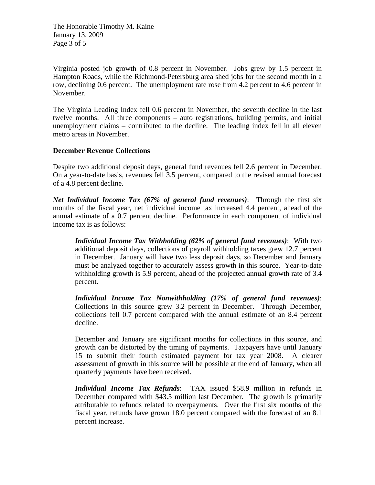The Honorable Timothy M. Kaine January 13, 2009 Page 3 of 5

Virginia posted job growth of 0.8 percent in November. Jobs grew by 1.5 percent in Hampton Roads, while the Richmond-Petersburg area shed jobs for the second month in a row, declining 0.6 percent. The unemployment rate rose from 4.2 percent to 4.6 percent in November.

The Virginia Leading Index fell 0.6 percent in November, the seventh decline in the last twelve months. All three components – auto registrations, building permits, and initial unemployment claims – contributed to the decline. The leading index fell in all eleven metro areas in November.

#### **December Revenue Collections**

Despite two additional deposit days, general fund revenues fell 2.6 percent in December. On a year-to-date basis, revenues fell 3.5 percent, compared to the revised annual forecast of a 4.8 percent decline.

*Net Individual Income Tax (67% of general fund revenues)*: Through the first six months of the fiscal year, net individual income tax increased 4.4 percent, ahead of the annual estimate of a 0.7 percent decline. Performance in each component of individual income tax is as follows:

*Individual Income Tax Withholding (62% of general fund revenues)*: With two additional deposit days, collections of payroll withholding taxes grew 12.7 percent in December. January will have two less deposit days, so December and January must be analyzed together to accurately assess growth in this source. Year-to-date withholding growth is 5.9 percent, ahead of the projected annual growth rate of 3.4 percent.

*Individual Income Tax Nonwithholding (17% of general fund revenues)*: Collections in this source grew 3.2 percent in December. Through December, collections fell 0.7 percent compared with the annual estimate of an 8.4 percent decline.

December and January are significant months for collections in this source, and growth can be distorted by the timing of payments. Taxpayers have until January 15 to submit their fourth estimated payment for tax year 2008. A clearer assessment of growth in this source will be possible at the end of January, when all quarterly payments have been received.

*Individual Income Tax Refunds*: TAX issued \$58.9 million in refunds in December compared with \$43.5 million last December. The growth is primarily attributable to refunds related to overpayments. Over the first six months of the fiscal year, refunds have grown 18.0 percent compared with the forecast of an 8.1 percent increase.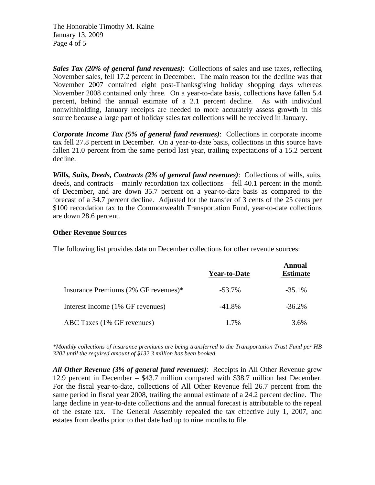The Honorable Timothy M. Kaine January 13, 2009 Page 4 of 5

*Sales Tax (20% of general fund revenues)*: Collections of sales and use taxes, reflecting November sales, fell 17.2 percent in December. The main reason for the decline was that November 2007 contained eight post-Thanksgiving holiday shopping days whereas November 2008 contained only three. On a year-to-date basis, collections have fallen 5.4 percent, behind the annual estimate of a 2.1 percent decline. As with individual nonwithholding, January receipts are needed to more accurately assess growth in this source because a large part of holiday sales tax collections will be received in January.

*Corporate Income Tax (5% of general fund revenues)*: Collections in corporate income tax fell 27.8 percent in December. On a year-to-date basis, collections in this source have fallen 21.0 percent from the same period last year, trailing expectations of a 15.2 percent decline.

*Wills, Suits, Deeds, Contracts (2% of general fund revenues)*: Collections of wills, suits, deeds, and contracts – mainly recordation tax collections – fell 40.1 percent in the month of December, and are down 35.7 percent on a year-to-date basis as compared to the forecast of a 34.7 percent decline. Adjusted for the transfer of 3 cents of the 25 cents per \$100 recordation tax to the Commonwealth Transportation Fund, year-to-date collections are down 28.6 percent.

#### **Other Revenue Sources**

The following list provides data on December collections for other revenue sources:

|                                      | <b>Year-to-Date</b> | Annual<br><b>Estimate</b> |
|--------------------------------------|---------------------|---------------------------|
| Insurance Premiums (2% GF revenues)* | $-53.7\%$           | $-35.1\%$                 |
| Interest Income (1% GF revenues)     | $-41.8\%$           | $-36.2\%$                 |
| ABC Taxes (1% GF revenues)           | $1.7\%$             | 3.6%                      |

*\*Monthly collections of insurance premiums are being transferred to the Transportation Trust Fund per HB 3202 until the required amount of \$132.3 million has been booked.* 

*All Other Revenue (3% of general fund revenues)*: Receipts in All Other Revenue grew 12.9 percent in December – \$43.7 million compared with \$38.7 million last December. For the fiscal year-to-date, collections of All Other Revenue fell 26.7 percent from the same period in fiscal year 2008, trailing the annual estimate of a 24.2 percent decline. The large decline in year-to-date collections and the annual forecast is attributable to the repeal of the estate tax. The General Assembly repealed the tax effective July 1, 2007, and estates from deaths prior to that date had up to nine months to file.